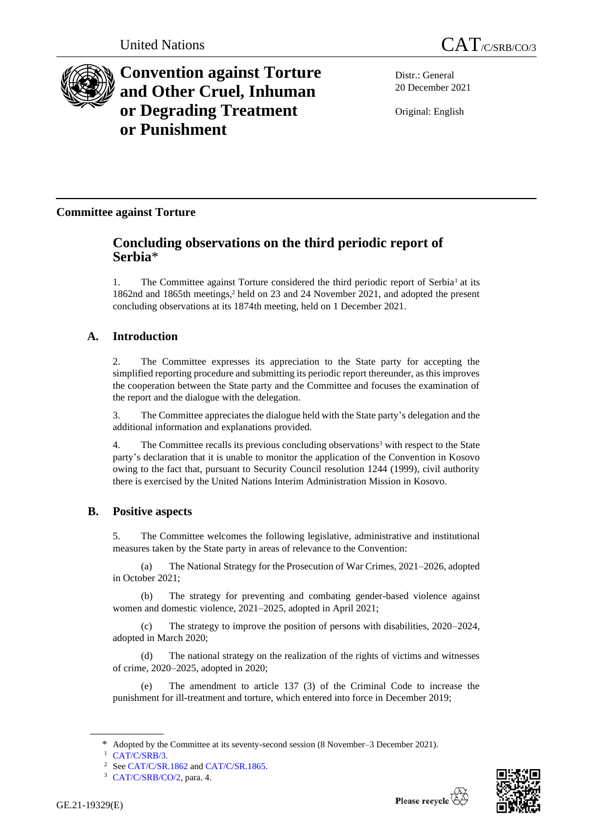

# **Convention against Torture and Other Cruel, Inhuman or Degrading Treatment or Punishment**

Distr.: General 20 December 2021

Original: English

# **Committee against Torture**

# **Concluding observations on the third periodic report of Serbia**\*

1. The Committee against Torture considered the third periodic report of Serbia<sup>1</sup> at its 1862nd and 1865th meetings,<sup>2</sup> held on 23 and 24 November 2021, and adopted the present concluding observations at its 1874th meeting, held on 1 December 2021.

# **A. Introduction**

2. The Committee expresses its appreciation to the State party for accepting the simplified reporting procedure and submitting its periodic report thereunder, as this improves the cooperation between the State party and the Committee and focuses the examination of the report and the dialogue with the delegation.

3. The Committee appreciates the dialogue held with the State party's delegation and the additional information and explanations provided.

4. The Committee recalls its previous concluding observations<sup>3</sup> with respect to the State party's declaration that it is unable to monitor the application of the Convention in Kosovo owing to the fact that, pursuant to Security Council resolution 1244 (1999), civil authority there is exercised by the United Nations Interim Administration Mission in Kosovo.

# **B. Positive aspects**

5. The Committee welcomes the following legislative, administrative and institutional measures taken by the State party in areas of relevance to the Convention:

(a) The National Strategy for the Prosecution of War Crimes, 2021–2026, adopted in October 2021;

(b) The strategy for preventing and combating gender-based violence against women and domestic violence, 2021–2025, adopted in April 2021;

(c) The strategy to improve the position of persons with disabilities, 2020–2024, adopted in March 2020;

(d) The national strategy on the realization of the rights of victims and witnesses of crime, 2020–2025, adopted in 2020;

(e) The amendment to article 137 (3) of the Criminal Code to increase the punishment for ill-treatment and torture, which entered into force in December 2019;



Adopted by the Committee at its seventy-second session (8 November–3 December 2021).

<sup>&</sup>lt;sup>1</sup> [CAT/C/SRB/3.](http://undocs.org/en/CAT/C/SRB/3)

<sup>&</sup>lt;sup>2</sup> Se[e CAT/C/SR.1862](http://undocs.org/en/CAT/C/SR.1862) an[d CAT/C/SR.1865.](http://undocs.org/en/CAT/C/SR.1865)

<sup>3</sup> [CAT/C/SRB/CO/2,](http://undocs.org/en/CAT/C/SRB/CO/2) para. 4.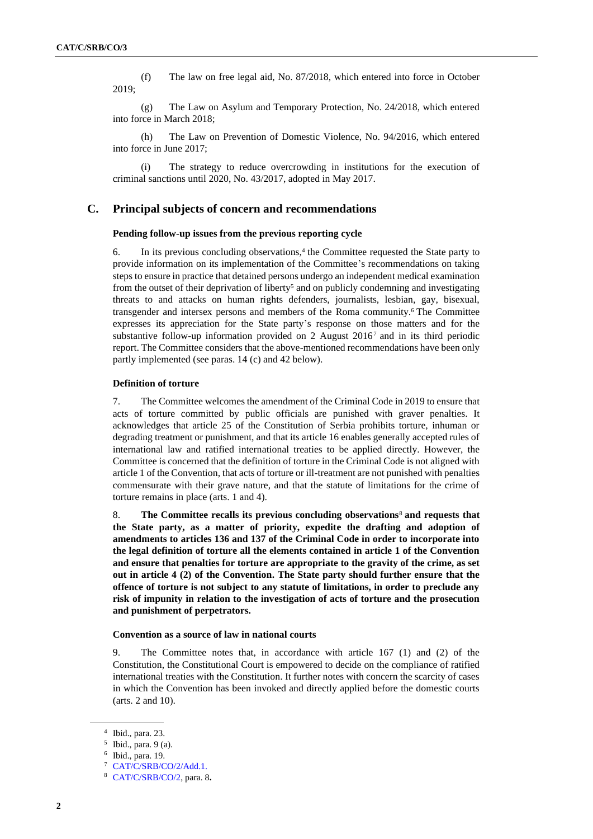(f) The law on free legal aid, No. 87/2018, which entered into force in October 2019;

(g) The Law on Asylum and Temporary Protection, No. 24/2018, which entered into force in March 2018;

(h) The Law on Prevention of Domestic Violence, No. 94/2016, which entered into force in June 2017;

The strategy to reduce overcrowding in institutions for the execution of criminal sanctions until 2020, No. 43/2017, adopted in May 2017.

# **C. Principal subjects of concern and recommendations**

# **Pending follow-up issues from the previous reporting cycle**

6. In its previous concluding observations,<sup>4</sup> the Committee requested the State party to provide information on its implementation of the Committee's recommendations on taking steps to ensure in practice that detained persons undergo an independent medical examination from the outset of their deprivation of liberty<sup>5</sup> and on publicly condemning and investigating threats to and attacks on human rights defenders, journalists, lesbian, gay, bisexual, transgender and intersex persons and members of the Roma community.<sup>6</sup> The Committee expresses its appreciation for the State party's response on those matters and for the substantive follow-up information provided on 2 August 2016<sup>7</sup> and in its third periodic report. The Committee considers that the above-mentioned recommendations have been only partly implemented (see paras. 14 (c) and 42 below).

# **Definition of torture**

7. The Committee welcomes the amendment of the Criminal Code in 2019 to ensure that acts of torture committed by public officials are punished with graver penalties. It acknowledges that article 25 of the Constitution of Serbia prohibits torture, inhuman or degrading treatment or punishment, and that its article 16 enables generally accepted rules of international law and ratified international treaties to be applied directly. However, the Committee is concerned that the definition of torture in the Criminal Code is not aligned with article 1 of the Convention, that acts of torture or ill-treatment are not punished with penalties commensurate with their grave nature, and that the statute of limitations for the crime of torture remains in place (arts. 1 and 4).

8. **The Committee recalls its previous concluding observations**<sup>8</sup> **and requests that the State party, as a matter of priority, expedite the drafting and adoption of amendments to articles 136 and 137 of the Criminal Code in order to incorporate into the legal definition of torture all the elements contained in article 1 of the Convention and ensure that penalties for torture are appropriate to the gravity of the crime, as set out in article 4 (2) of the Convention. The State party should further ensure that the offence of torture is not subject to any statute of limitations, in order to preclude any risk of impunity in relation to the investigation of acts of torture and the prosecution and punishment of perpetrators.**

#### **Convention as a source of law in national courts**

9. The Committee notes that, in accordance with article 167 (1) and (2) of the Constitution, the Constitutional Court is empowered to decide on the compliance of ratified international treaties with the Constitution. It further notes with concern the scarcity of cases in which the Convention has been invoked and directly applied before the domestic courts (arts. 2 and 10).

<sup>4</sup> Ibid., para. 23.

<sup>5</sup> Ibid., para. 9 (a).

<sup>6</sup> Ibid., para. 19.

<sup>7</sup> [CAT/C/SRB/CO/2/Add.1.](http://undocs.org/en/CAT/C/SRB/CO/2/Add.1)

<sup>8</sup> [CAT/C/SRB/CO/2,](http://undocs.org/en/CAT/C/SRB/CO/2) para. 8**.**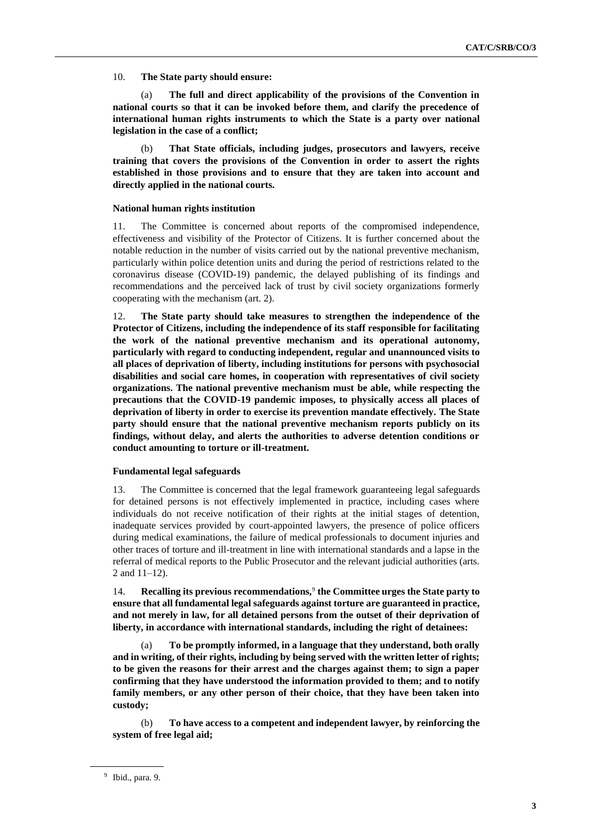10. **The State party should ensure:**

(a) **The full and direct applicability of the provisions of the Convention in national courts so that it can be invoked before them, and clarify the precedence of international human rights instruments to which the State is a party over national legislation in the case of a conflict;**

(b) **That State officials, including judges, prosecutors and lawyers, receive training that covers the provisions of the Convention in order to assert the rights established in those provisions and to ensure that they are taken into account and directly applied in the national courts.**

# **National human rights institution**

11. The Committee is concerned about reports of the compromised independence, effectiveness and visibility of the Protector of Citizens. It is further concerned about the notable reduction in the number of visits carried out by the national preventive mechanism, particularly within police detention units and during the period of restrictions related to the coronavirus disease (COVID-19) pandemic, the delayed publishing of its findings and recommendations and the perceived lack of trust by civil society organizations formerly cooperating with the mechanism (art. 2).

12. **The State party should take measures to strengthen the independence of the Protector of Citizens, including the independence of its staff responsible for facilitating the work of the national preventive mechanism and its operational autonomy, particularly with regard to conducting independent, regular and unannounced visits to all places of deprivation of liberty, including institutions for persons with psychosocial disabilities and social care homes, in cooperation with representatives of civil society organizations. The national preventive mechanism must be able, while respecting the precautions that the COVID-19 pandemic imposes, to physically access all places of deprivation of liberty in order to exercise its prevention mandate effectively. The State party should ensure that the national preventive mechanism reports publicly on its findings, without delay, and alerts the authorities to adverse detention conditions or conduct amounting to torture or ill-treatment.**

### **Fundamental legal safeguards**

13. The Committee is concerned that the legal framework guaranteeing legal safeguards for detained persons is not effectively implemented in practice, including cases where individuals do not receive notification of their rights at the initial stages of detention, inadequate services provided by court-appointed lawyers, the presence of police officers during medical examinations, the failure of medical professionals to document injuries and other traces of torture and ill-treatment in line with international standards and a lapse in the referral of medical reports to the Public Prosecutor and the relevant judicial authorities (arts. 2 and 11–12).

14. **Recalling its previous recommendations,**<sup>9</sup> **the Committee urges the State party to ensure that all fundamental legal safeguards against torture are guaranteed in practice, and not merely in law, for all detained persons from the outset of their deprivation of liberty, in accordance with international standards, including the right of detainees:**

(a) **To be promptly informed, in a language that they understand, both orally and in writing, of their rights, including by being served with the written letter of rights; to be given the reasons for their arrest and the charges against them; to sign a paper confirming that they have understood the information provided to them; and to notify family members, or any other person of their choice, that they have been taken into custody;**

(b) **To have access to a competent and independent lawyer, by reinforcing the system of free legal aid;** 

<sup>9</sup> Ibid., para. 9.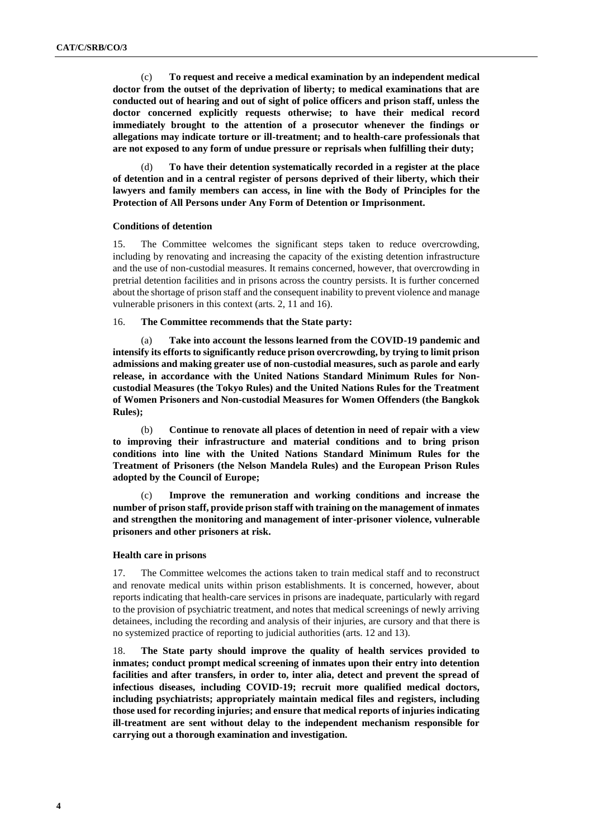(c) **To request and receive a medical examination by an independent medical doctor from the outset of the deprivation of liberty; to medical examinations that are conducted out of hearing and out of sight of police officers and prison staff, unless the doctor concerned explicitly requests otherwise; to have their medical record immediately brought to the attention of a prosecutor whenever the findings or allegations may indicate torture or ill-treatment; and to health-care professionals that are not exposed to any form of undue pressure or reprisals when fulfilling their duty;**

To have their detention systematically recorded in a register at the place **of detention and in a central register of persons deprived of their liberty, which their lawyers and family members can access, in line with the Body of Principles for the Protection of All Persons under Any Form of Detention or Imprisonment.** 

# **Conditions of detention**

15. The Committee welcomes the significant steps taken to reduce overcrowding, including by renovating and increasing the capacity of the existing detention infrastructure and the use of non-custodial measures. It remains concerned, however, that overcrowding in pretrial detention facilities and in prisons across the country persists. It is further concerned about the shortage of prison staff and the consequent inability to prevent violence and manage vulnerable prisoners in this context (arts. 2, 11 and 16).

# 16. **The Committee recommends that the State party:**

(a) **Take into account the lessons learned from the COVID-19 pandemic and intensify its efforts to significantly reduce prison overcrowding, by trying to limit prison admissions and making greater use of non-custodial measures, such as parole and early release, in accordance with the United Nations Standard Minimum Rules for Noncustodial Measures (the Tokyo Rules) and the United Nations Rules for the Treatment of Women Prisoners and Non-custodial Measures for Women Offenders (the Bangkok Rules);**

(b) **Continue to renovate all places of detention in need of repair with a view to improving their infrastructure and material conditions and to bring prison conditions into line with the United Nations Standard Minimum Rules for the Treatment of Prisoners (the Nelson Mandela Rules) and the European Prison Rules adopted by the Council of Europe;**

(c) **Improve the remuneration and working conditions and increase the number of prison staff, provide prison staff with training on the management of inmates and strengthen the monitoring and management of inter-prisoner violence, vulnerable prisoners and other prisoners at risk.**

# **Health care in prisons**

17. The Committee welcomes the actions taken to train medical staff and to reconstruct and renovate medical units within prison establishments. It is concerned, however, about reports indicating that health-care services in prisons are inadequate, particularly with regard to the provision of psychiatric treatment, and notes that medical screenings of newly arriving detainees, including the recording and analysis of their injuries, are cursory and that there is no systemized practice of reporting to judicial authorities (arts. 12 and 13).

18. **The State party should improve the quality of health services provided to inmates; conduct prompt medical screening of inmates upon their entry into detention facilities and after transfers, in order to, inter alia, detect and prevent the spread of infectious diseases, including COVID-19; recruit more qualified medical doctors, including psychiatrists; appropriately maintain medical files and registers, including those used for recording injuries; and ensure that medical reports of injuries indicating ill-treatment are sent without delay to the independent mechanism responsible for carrying out a thorough examination and investigation.**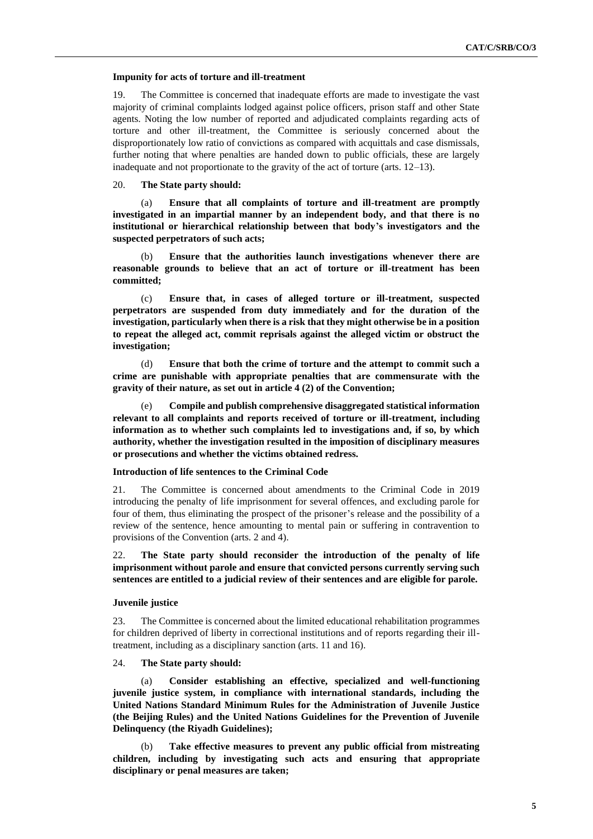#### **Impunity for acts of torture and ill-treatment**

19. The Committee is concerned that inadequate efforts are made to investigate the vast majority of criminal complaints lodged against police officers, prison staff and other State agents. Noting the low number of reported and adjudicated complaints regarding acts of torture and other ill-treatment, the Committee is seriously concerned about the disproportionately low ratio of convictions as compared with acquittals and case dismissals, further noting that where penalties are handed down to public officials, these are largely inadequate and not proportionate to the gravity of the act of torture (arts. 12–13).

# 20. **The State party should:**

(a) **Ensure that all complaints of torture and ill-treatment are promptly investigated in an impartial manner by an independent body, and that there is no institutional or hierarchical relationship between that body's investigators and the suspected perpetrators of such acts;**

(b) **Ensure that the authorities launch investigations whenever there are reasonable grounds to believe that an act of torture or ill-treatment has been committed;**

(c) **Ensure that, in cases of alleged torture or ill-treatment, suspected perpetrators are suspended from duty immediately and for the duration of the investigation, particularly when there is a risk that they might otherwise be in a position to repeat the alleged act, commit reprisals against the alleged victim or obstruct the investigation;**

(d) **Ensure that both the crime of torture and the attempt to commit such a crime are punishable with appropriate penalties that are commensurate with the gravity of their nature, as set out in article 4 (2) of the Convention;**

(e) **Compile and publish comprehensive disaggregated statistical information relevant to all complaints and reports received of torture or ill-treatment, including information as to whether such complaints led to investigations and, if so, by which authority, whether the investigation resulted in the imposition of disciplinary measures or prosecutions and whether the victims obtained redress.**

#### **Introduction of life sentences to the Criminal Code**

21. The Committee is concerned about amendments to the Criminal Code in 2019 introducing the penalty of life imprisonment for several offences, and excluding parole for four of them, thus eliminating the prospect of the prisoner's release and the possibility of a review of the sentence, hence amounting to mental pain or suffering in contravention to provisions of the Convention (arts. 2 and 4).

22. **The State party should reconsider the introduction of the penalty of life imprisonment without parole and ensure that convicted persons currently serving such sentences are entitled to a judicial review of their sentences and are eligible for parole.**

### **Juvenile justice**

23. The Committee is concerned about the limited educational rehabilitation programmes for children deprived of liberty in correctional institutions and of reports regarding their illtreatment, including as a disciplinary sanction (arts. 11 and 16).

# 24. **The State party should:**

(a) **Consider establishing an effective, specialized and well-functioning juvenile justice system, in compliance with international standards, including the United Nations Standard Minimum Rules for the Administration of Juvenile Justice (the Beijing Rules) and the United Nations Guidelines for the Prevention of Juvenile Delinquency (the Riyadh Guidelines);**

(b) **Take effective measures to prevent any public official from mistreating children, including by investigating such acts and ensuring that appropriate disciplinary or penal measures are taken;**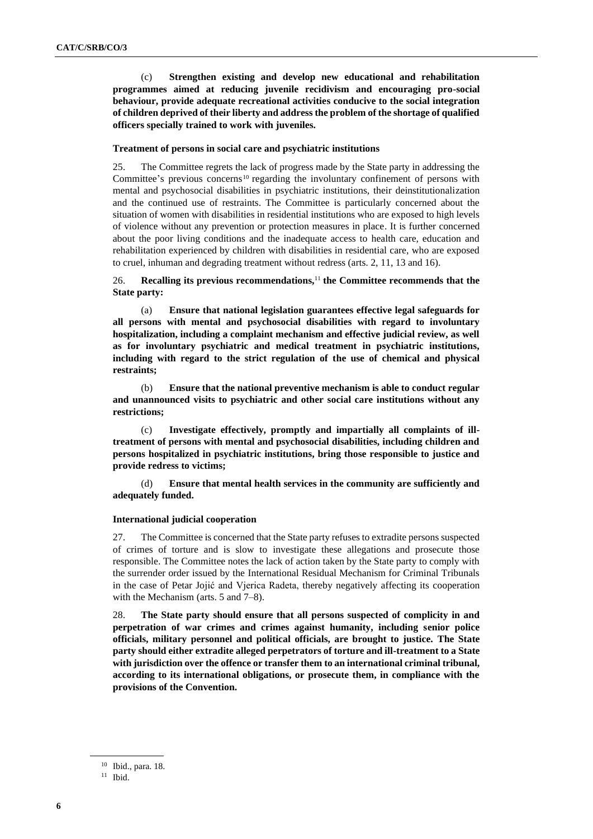(c) **Strengthen existing and develop new educational and rehabilitation programmes aimed at reducing juvenile recidivism and encouraging pro-social behaviour, provide adequate recreational activities conducive to the social integration of children deprived of their liberty and address the problem of the shortage of qualified officers specially trained to work with juveniles.** 

# **Treatment of persons in social care and psychiatric institutions**

25. The Committee regrets the lack of progress made by the State party in addressing the Committee's previous concerns<sup>10</sup> regarding the involuntary confinement of persons with mental and psychosocial disabilities in psychiatric institutions, their deinstitutionalization and the continued use of restraints. The Committee is particularly concerned about the situation of women with disabilities in residential institutions who are exposed to high levels of violence without any prevention or protection measures in place. It is further concerned about the poor living conditions and the inadequate access to health care, education and rehabilitation experienced by children with disabilities in residential care, who are exposed to cruel, inhuman and degrading treatment without redress (arts. 2, 11, 13 and 16).

# 26. **Recalling its previous recommendations,**<sup>11</sup> **the Committee recommends that the State party:**

(a) **Ensure that national legislation guarantees effective legal safeguards for all persons with mental and psychosocial disabilities with regard to involuntary hospitalization, including a complaint mechanism and effective judicial review, as well as for involuntary psychiatric and medical treatment in psychiatric institutions, including with regard to the strict regulation of the use of chemical and physical restraints;**

(b) **Ensure that the national preventive mechanism is able to conduct regular and unannounced visits to psychiatric and other social care institutions without any restrictions;**

(c) **Investigate effectively, promptly and impartially all complaints of illtreatment of persons with mental and psychosocial disabilities, including children and persons hospitalized in psychiatric institutions, bring those responsible to justice and provide redress to victims;**

(d) **Ensure that mental health services in the community are sufficiently and adequately funded.**

# **International judicial cooperation**

27. The Committee is concerned that the State party refuses to extradite persons suspected of crimes of torture and is slow to investigate these allegations and prosecute those responsible. The Committee notes the lack of action taken by the State party to comply with the surrender order issued by the International Residual Mechanism for Criminal Tribunals in the case of Petar Jojić and Vjerica Radeta, thereby negatively affecting its cooperation with the Mechanism (arts. 5 and 7–8).

28. **The State party should ensure that all persons suspected of complicity in and perpetration of war crimes and crimes against humanity, including senior police officials, military personnel and political officials, are brought to justice. The State party should either extradite alleged perpetrators of torture and ill-treatment to a State with jurisdiction over the offence or transfer them to an international criminal tribunal, according to its international obligations, or prosecute them, in compliance with the provisions of the Convention.**

<sup>10</sup> Ibid., para. 18.

 $11$  Ibid.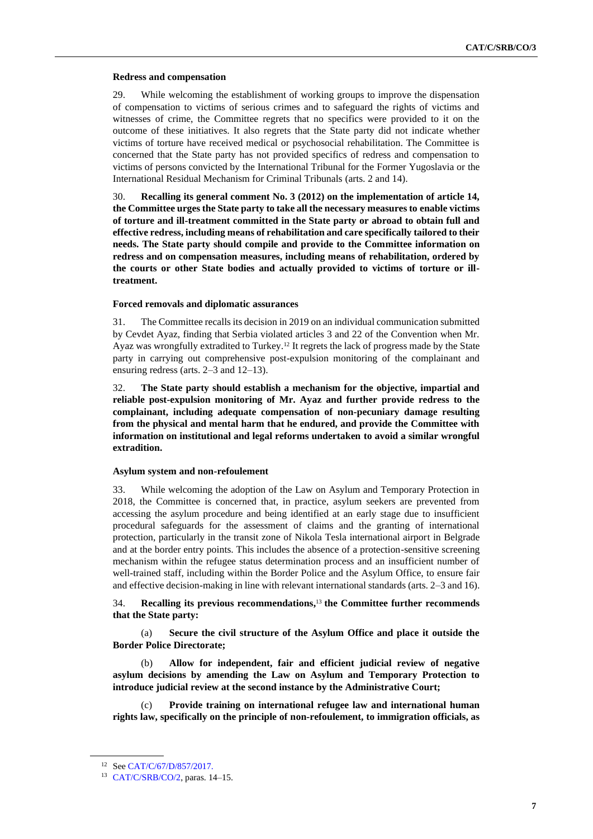### **Redress and compensation**

29. While welcoming the establishment of working groups to improve the dispensation of compensation to victims of serious crimes and to safeguard the rights of victims and witnesses of crime, the Committee regrets that no specifics were provided to it on the outcome of these initiatives. It also regrets that the State party did not indicate whether victims of torture have received medical or psychosocial rehabilitation. The Committee is concerned that the State party has not provided specifics of redress and compensation to victims of persons convicted by the International Tribunal for the Former Yugoslavia or the International Residual Mechanism for Criminal Tribunals (arts. 2 and 14).

30. **Recalling its general comment No. 3 (2012) on the implementation of article 14, the Committee urges the State party to take all the necessary measures to enable victims of torture and ill-treatment committed in the State party or abroad to obtain full and effective redress, including means of rehabilitation and care specifically tailored to their needs. The State party should compile and provide to the Committee information on redress and on compensation measures, including means of rehabilitation, ordered by the courts or other State bodies and actually provided to victims of torture or illtreatment.**

# **Forced removals and diplomatic assurances**

31. The Committee recalls its decision in 2019 on an individual communication submitted by Cevdet Ayaz, finding that Serbia violated articles 3 and 22 of the Convention when Mr. Ayaz was wrongfully extradited to Turkey.<sup>12</sup> It regrets the lack of progress made by the State party in carrying out comprehensive post-expulsion monitoring of the complainant and ensuring redress (arts. 2–3 and 12–13).

32. **The State party should establish a mechanism for the objective, impartial and reliable post-expulsion monitoring of Mr. Ayaz and further provide redress to the complainant, including adequate compensation of non-pecuniary damage resulting from the physical and mental harm that he endured, and provide the Committee with information on institutional and legal reforms undertaken to avoid a similar wrongful extradition.**

#### **Asylum system and non-refoulement**

33. While welcoming the adoption of the Law on Asylum and Temporary Protection in 2018, the Committee is concerned that, in practice, asylum seekers are prevented from accessing the asylum procedure and being identified at an early stage due to insufficient procedural safeguards for the assessment of claims and the granting of international protection, particularly in the transit zone of Nikola Tesla international airport in Belgrade and at the border entry points. This includes the absence of a protection-sensitive screening mechanism within the refugee status determination process and an insufficient number of well-trained staff, including within the Border Police and the Asylum Office, to ensure fair and effective decision-making in line with relevant international standards (arts. 2–3 and 16).

34. **Recalling its previous recommendations,** <sup>13</sup> **the Committee further recommends that the State party:** 

(a) **Secure the civil structure of the Asylum Office and place it outside the Border Police Directorate;** 

(b) **Allow for independent, fair and efficient judicial review of negative asylum decisions by amending the Law on Asylum and Temporary Protection to introduce judicial review at the second instance by the Administrative Court;**

(c) **Provide training on international refugee law and international human rights law, specifically on the principle of non-refoulement, to immigration officials, as** 

<sup>12</sup> Se[e CAT/C/67/D/857/2017.](http://undocs.org/en/CAT/C/67/D/857/2017)

<sup>13</sup> [CAT/C/SRB/CO/2,](http://undocs.org/en/CAT/C/SRB/CO/2) paras. 14–15.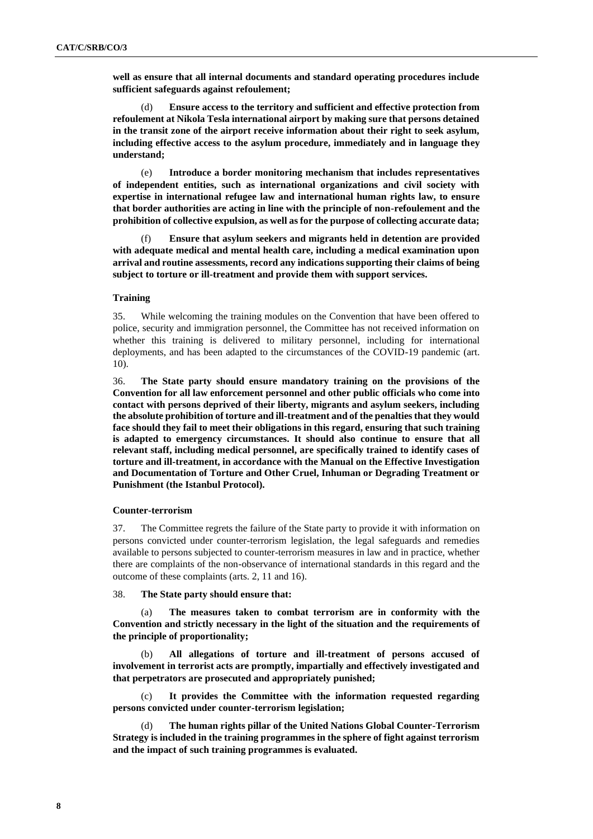**well as ensure that all internal documents and standard operating procedures include sufficient safeguards against refoulement;**

(d) **Ensure access to the territory and sufficient and effective protection from refoulement at Nikola Tesla international airport by making sure that persons detained in the transit zone of the airport receive information about their right to seek asylum, including effective access to the asylum procedure, immediately and in language they understand;**

(e) **Introduce a border monitoring mechanism that includes representatives of independent entities, such as international organizations and civil society with expertise in international refugee law and international human rights law, to ensure that border authorities are acting in line with the principle of non-refoulement and the prohibition of collective expulsion, as well as for the purpose of collecting accurate data;** 

(f) **Ensure that asylum seekers and migrants held in detention are provided with adequate medical and mental health care, including a medical examination upon arrival and routine assessments, record any indications supporting their claims of being subject to torture or ill-treatment and provide them with support services.**

# **Training**

35. While welcoming the training modules on the Convention that have been offered to police, security and immigration personnel, the Committee has not received information on whether this training is delivered to military personnel, including for international deployments, and has been adapted to the circumstances of the COVID-19 pandemic (art. 10).

36. **The State party should ensure mandatory training on the provisions of the Convention for all law enforcement personnel and other public officials who come into contact with persons deprived of their liberty, migrants and asylum seekers, including the absolute prohibition of torture and ill-treatment and of the penalties that they would face should they fail to meet their obligations in this regard, ensuring that such training is adapted to emergency circumstances. It should also continue to ensure that all relevant staff, including medical personnel, are specifically trained to identify cases of torture and ill-treatment, in accordance with the Manual on the Effective Investigation and Documentation of Torture and Other Cruel, Inhuman or Degrading Treatment or Punishment (the Istanbul Protocol).**

# **Counter-terrorism**

37. The Committee regrets the failure of the State party to provide it with information on persons convicted under counter-terrorism legislation, the legal safeguards and remedies available to persons subjected to counter-terrorism measures in law and in practice, whether there are complaints of the non-observance of international standards in this regard and the outcome of these complaints (arts. 2, 11 and 16).

# 38. **The State party should ensure that:**

(a) **The measures taken to combat terrorism are in conformity with the Convention and strictly necessary in the light of the situation and the requirements of the principle of proportionality;**

(b) **All allegations of torture and ill-treatment of persons accused of involvement in terrorist acts are promptly, impartially and effectively investigated and that perpetrators are prosecuted and appropriately punished;**

(c) **It provides the Committee with the information requested regarding persons convicted under counter-terrorism legislation;**

(d) **The human rights pillar of the United Nations Global Counter-Terrorism Strategy is included in the training programmes in the sphere of fight against terrorism and the impact of such training programmes is evaluated.**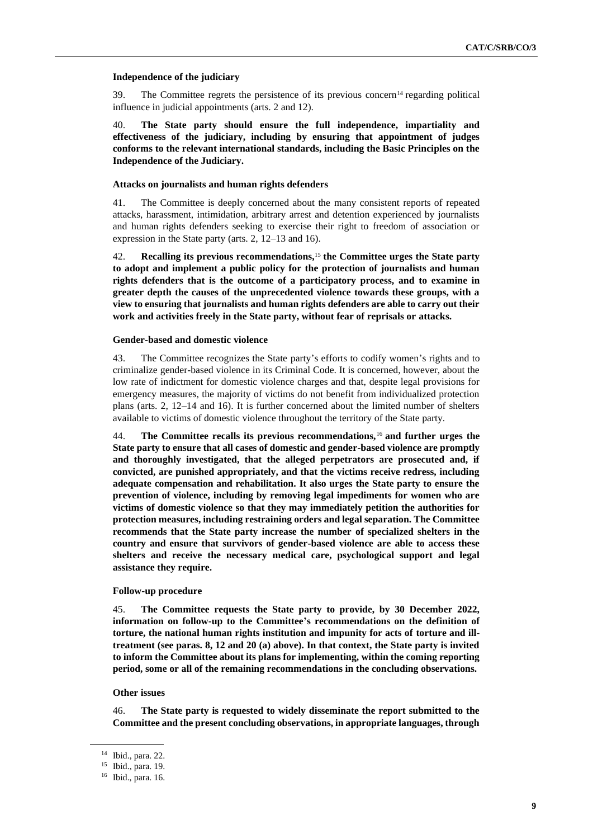# **Independence of the judiciary**

39. The Committee regrets the persistence of its previous concern<sup>14</sup> regarding political influence in judicial appointments (arts. 2 and 12).

40. **The State party should ensure the full independence, impartiality and effectiveness of the judiciary, including by ensuring that appointment of judges conforms to the relevant international standards, including the Basic Principles on the Independence of the Judiciary.**

# **Attacks on journalists and human rights defenders**

41. The Committee is deeply concerned about the many consistent reports of repeated attacks, harassment, intimidation, arbitrary arrest and detention experienced by journalists and human rights defenders seeking to exercise their right to freedom of association or expression in the State party (arts. 2, 12–13 and 16).

42. **Recalling its previous recommendations,**<sup>15</sup> **the Committee urges the State party to adopt and implement a public policy for the protection of journalists and human rights defenders that is the outcome of a participatory process, and to examine in greater depth the causes of the unprecedented violence towards these groups, with a view to ensuring that journalists and human rights defenders are able to carry out their work and activities freely in the State party, without fear of reprisals or attacks.**

# **Gender-based and domestic violence**

43. The Committee recognizes the State party's efforts to codify women's rights and to criminalize gender-based violence in its Criminal Code. It is concerned, however, about the low rate of indictment for domestic violence charges and that, despite legal provisions for emergency measures, the majority of victims do not benefit from individualized protection plans (arts. 2, 12–14 and 16). It is further concerned about the limited number of shelters available to victims of domestic violence throughout the territory of the State party.

44. **The Committee recalls its previous recommendations,**<sup>16</sup> **and further urges the State party to ensure that all cases of domestic and gender-based violence are promptly and thoroughly investigated, that the alleged perpetrators are prosecuted and, if convicted, are punished appropriately, and that the victims receive redress, including adequate compensation and rehabilitation. It also urges the State party to ensure the prevention of violence, including by removing legal impediments for women who are victims of domestic violence so that they may immediately petition the authorities for protection measures, including restraining orders and legal separation. The Committee recommends that the State party increase the number of specialized shelters in the country and ensure that survivors of gender-based violence are able to access these shelters and receive the necessary medical care, psychological support and legal assistance they require.**

# **Follow-up procedure**

45. **The Committee requests the State party to provide, by 30 December 2022, information on follow-up to the Committee's recommendations on the definition of torture, the national human rights institution and impunity for acts of torture and illtreatment (see paras. 8, 12 and 20 (a) above). In that context, the State party is invited to inform the Committee about its plans for implementing, within the coming reporting period, some or all of the remaining recommendations in the concluding observations.**

### **Other issues**

46. **The State party is requested to widely disseminate the report submitted to the Committee and the present concluding observations, in appropriate languages, through** 

<sup>14</sup> Ibid., para. 22.

<sup>15</sup> Ibid., para. 19.

<sup>16</sup> Ibid., para. 16.